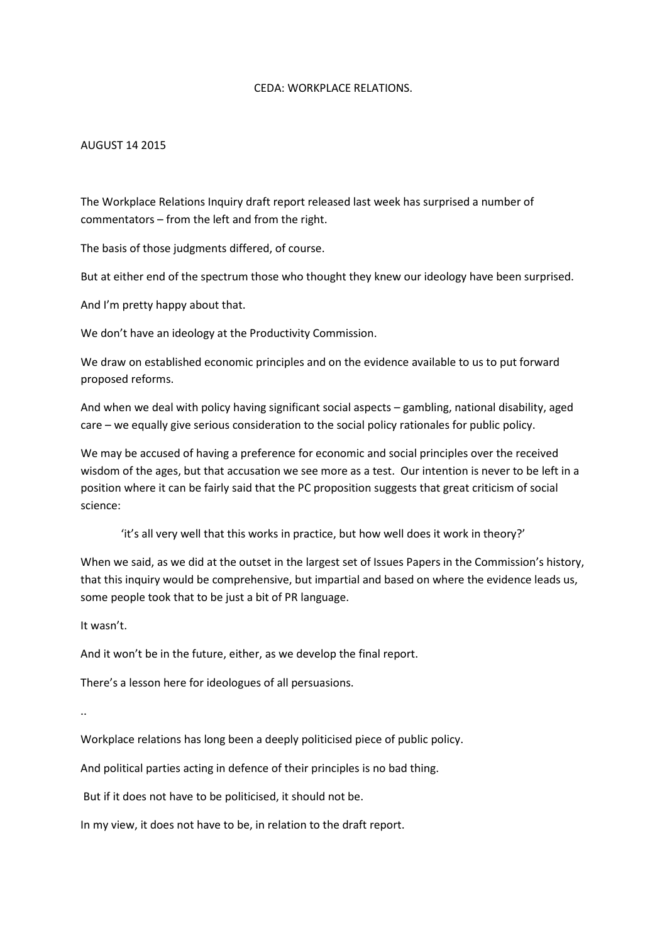### CEDA: WORKPLACE RELATIONS.

## AUGUST 14 2015

The Workplace Relations Inquiry draft report released last week has surprised a number of commentators – from the left and from the right.

The basis of those judgments differed, of course.

But at either end of the spectrum those who thought they knew our ideology have been surprised.

And I'm pretty happy about that.

We don't have an ideology at the Productivity Commission.

We draw on established economic principles and on the evidence available to us to put forward proposed reforms.

And when we deal with policy having significant social aspects – gambling, national disability, aged care – we equally give serious consideration to the social policy rationales for public policy.

We may be accused of having a preference for economic and social principles over the received wisdom of the ages, but that accusation we see more as a test. Our intention is never to be left in a position where it can be fairly said that the PC proposition suggests that great criticism of social science:

'it's all very well that this works in practice, but how well does it work in theory?'

When we said, as we did at the outset in the largest set of Issues Papers in the Commission's history, that this inquiry would be comprehensive, but impartial and based on where the evidence leads us, some people took that to be just a bit of PR language.

It wasn't.

And it won't be in the future, either, as we develop the final report.

There's a lesson here for ideologues of all persuasions.

..

Workplace relations has long been a deeply politicised piece of public policy.

And political parties acting in defence of their principles is no bad thing.

But if it does not have to be politicised, it should not be.

In my view, it does not have to be, in relation to the draft report.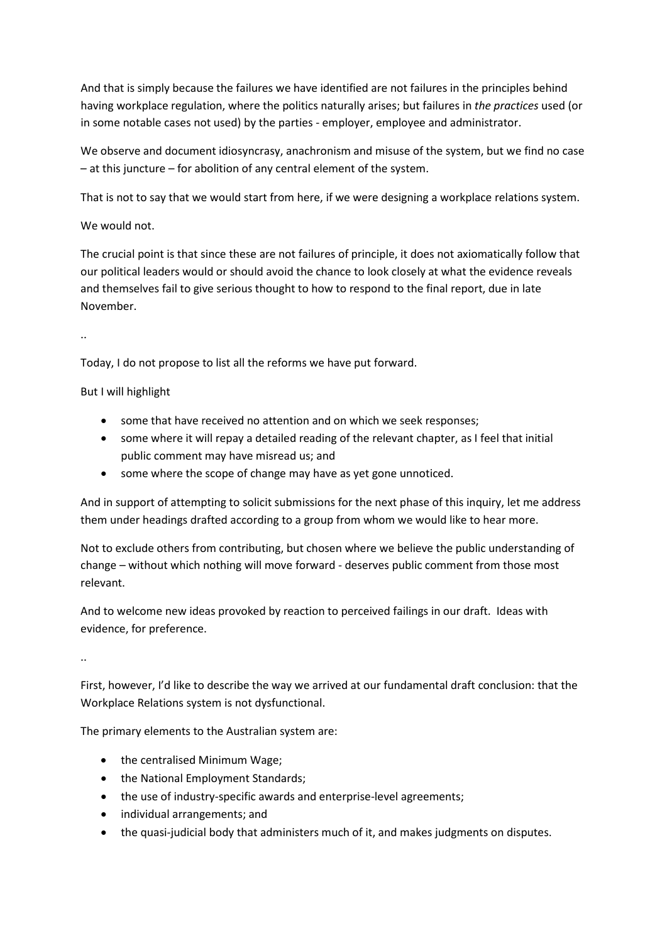And that is simply because the failures we have identified are not failures in the principles behind having workplace regulation, where the politics naturally arises; but failures in *the practices* used (or in some notable cases not used) by the parties - employer, employee and administrator.

We observe and document idiosyncrasy, anachronism and misuse of the system, but we find no case – at this juncture – for abolition of any central element of the system.

That is not to say that we would start from here, if we were designing a workplace relations system.

# We would not.

The crucial point is that since these are not failures of principle, it does not axiomatically follow that our political leaders would or should avoid the chance to look closely at what the evidence reveals and themselves fail to give serious thought to how to respond to the final report, due in late November.

..

Today, I do not propose to list all the reforms we have put forward.

But I will highlight

- some that have received no attention and on which we seek responses;
- some where it will repay a detailed reading of the relevant chapter, as I feel that initial public comment may have misread us; and
- some where the scope of change may have as yet gone unnoticed.

And in support of attempting to solicit submissions for the next phase of this inquiry, let me address them under headings drafted according to a group from whom we would like to hear more.

Not to exclude others from contributing, but chosen where we believe the public understanding of change – without which nothing will move forward - deserves public comment from those most relevant.

And to welcome new ideas provoked by reaction to perceived failings in our draft. Ideas with evidence, for preference.

..

First, however, I'd like to describe the way we arrived at our fundamental draft conclusion: that the Workplace Relations system is not dysfunctional.

The primary elements to the Australian system are:

- the centralised Minimum Wage;
- the National Employment Standards;
- the use of industry-specific awards and enterprise-level agreements;
- individual arrangements; and
- the quasi-judicial body that administers much of it, and makes judgments on disputes.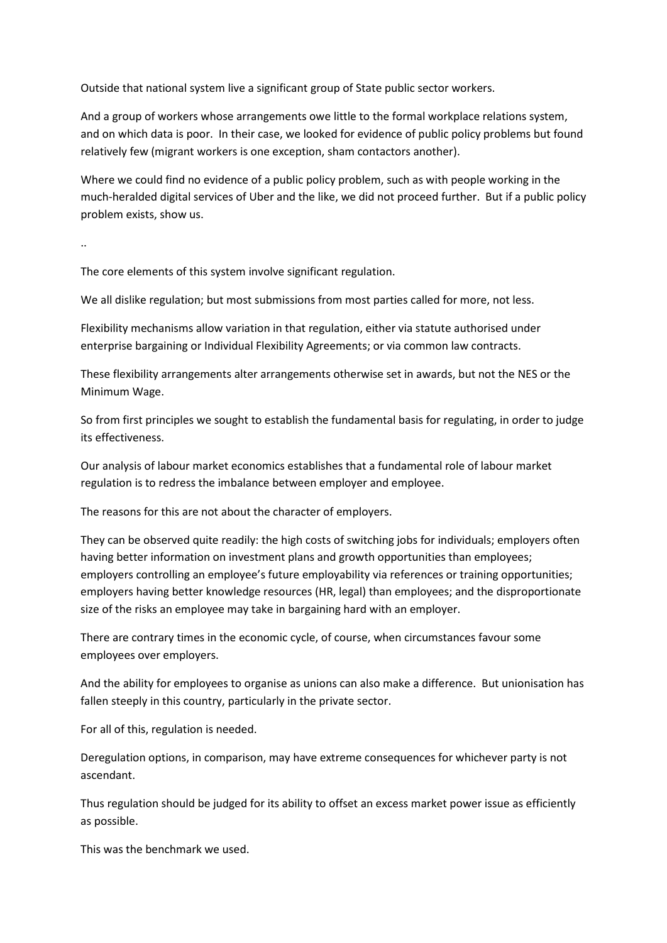Outside that national system live a significant group of State public sector workers.

And a group of workers whose arrangements owe little to the formal workplace relations system, and on which data is poor. In their case, we looked for evidence of public policy problems but found relatively few (migrant workers is one exception, sham contactors another).

Where we could find no evidence of a public policy problem, such as with people working in the much-heralded digital services of Uber and the like, we did not proceed further. But if a public policy problem exists, show us.

..

The core elements of this system involve significant regulation.

We all dislike regulation; but most submissions from most parties called for more, not less.

Flexibility mechanisms allow variation in that regulation, either via statute authorised under enterprise bargaining or Individual Flexibility Agreements; or via common law contracts.

These flexibility arrangements alter arrangements otherwise set in awards, but not the NES or the Minimum Wage.

So from first principles we sought to establish the fundamental basis for regulating, in order to judge its effectiveness.

Our analysis of labour market economics establishes that a fundamental role of labour market regulation is to redress the imbalance between employer and employee.

The reasons for this are not about the character of employers.

They can be observed quite readily: the high costs of switching jobs for individuals; employers often having better information on investment plans and growth opportunities than employees; employers controlling an employee's future employability via references or training opportunities; employers having better knowledge resources (HR, legal) than employees; and the disproportionate size of the risks an employee may take in bargaining hard with an employer.

There are contrary times in the economic cycle, of course, when circumstances favour some employees over employers.

And the ability for employees to organise as unions can also make a difference. But unionisation has fallen steeply in this country, particularly in the private sector.

For all of this, regulation is needed.

Deregulation options, in comparison, may have extreme consequences for whichever party is not ascendant.

Thus regulation should be judged for its ability to offset an excess market power issue as efficiently as possible.

This was the benchmark we used.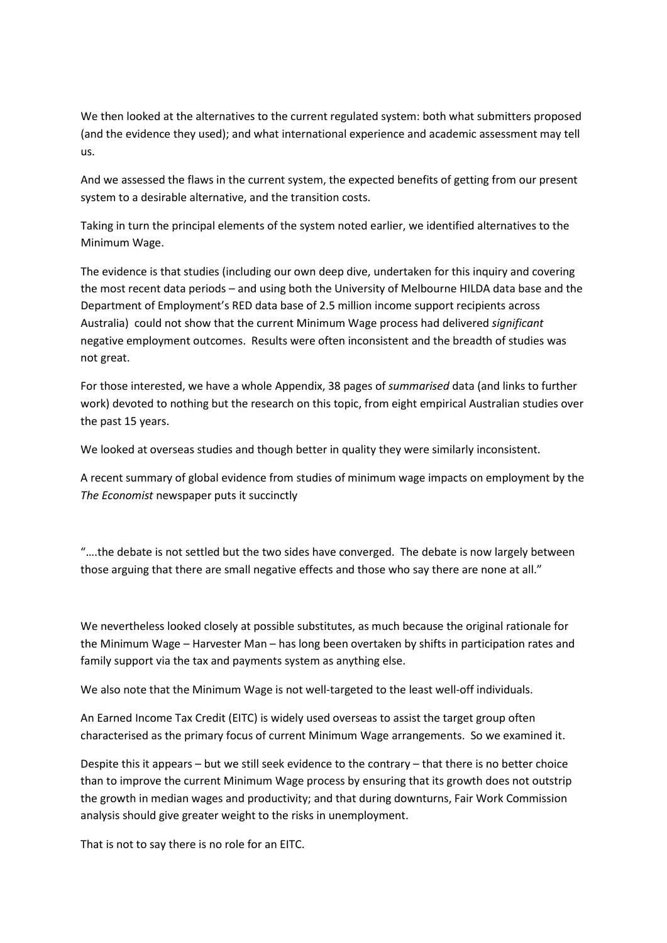We then looked at the alternatives to the current regulated system: both what submitters proposed (and the evidence they used); and what international experience and academic assessment may tell us.

And we assessed the flaws in the current system, the expected benefits of getting from our present system to a desirable alternative, and the transition costs.

Taking in turn the principal elements of the system noted earlier, we identified alternatives to the Minimum Wage.

The evidence is that studies (including our own deep dive, undertaken for this inquiry and covering the most recent data periods – and using both the University of Melbourne HILDA data base and the Department of Employment's RED data base of 2.5 million income support recipients across Australia) could not show that the current Minimum Wage process had delivered *significant* negative employment outcomes. Results were often inconsistent and the breadth of studies was not great.

For those interested, we have a whole Appendix, 38 pages of *summarised* data (and links to further work) devoted to nothing but the research on this topic, from eight empirical Australian studies over the past 15 years.

We looked at overseas studies and though better in quality they were similarly inconsistent.

A recent summary of global evidence from studies of minimum wage impacts on employment by the *The Economist* newspaper puts it succinctly

"….the debate is not settled but the two sides have converged. The debate is now largely between those arguing that there are small negative effects and those who say there are none at all."

We nevertheless looked closely at possible substitutes, as much because the original rationale for the Minimum Wage – Harvester Man – has long been overtaken by shifts in participation rates and family support via the tax and payments system as anything else.

We also note that the Minimum Wage is not well-targeted to the least well-off individuals.

An Earned Income Tax Credit (EITC) is widely used overseas to assist the target group often characterised as the primary focus of current Minimum Wage arrangements. So we examined it.

Despite this it appears – but we still seek evidence to the contrary – that there is no better choice than to improve the current Minimum Wage process by ensuring that its growth does not outstrip the growth in median wages and productivity; and that during downturns, Fair Work Commission analysis should give greater weight to the risks in unemployment.

That is not to say there is no role for an EITC.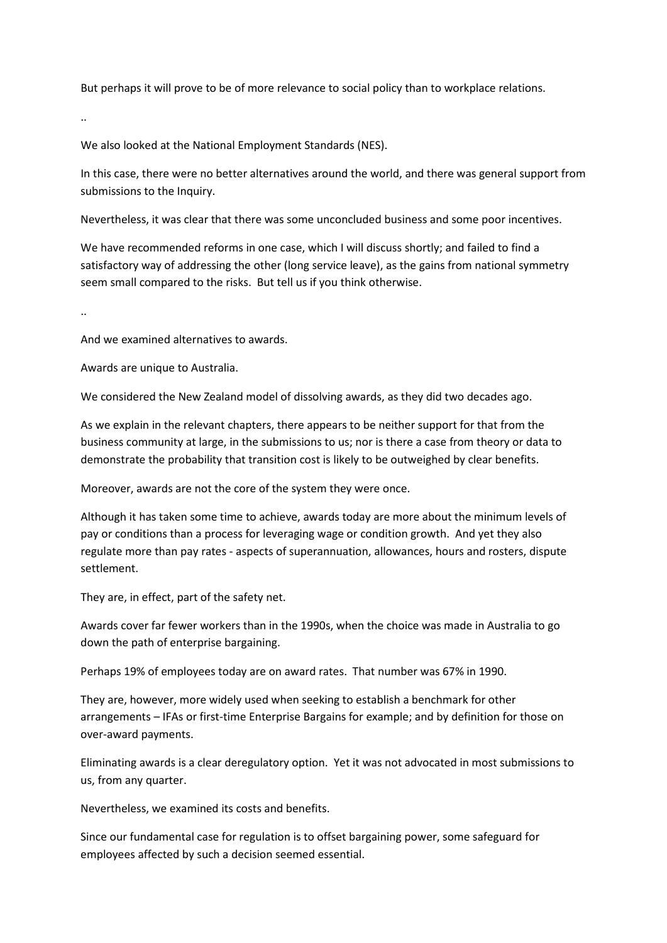But perhaps it will prove to be of more relevance to social policy than to workplace relations.

..

We also looked at the National Employment Standards (NES).

In this case, there were no better alternatives around the world, and there was general support from submissions to the Inquiry.

Nevertheless, it was clear that there was some unconcluded business and some poor incentives.

We have recommended reforms in one case, which I will discuss shortly; and failed to find a satisfactory way of addressing the other (long service leave), as the gains from national symmetry seem small compared to the risks. But tell us if you think otherwise.

..

And we examined alternatives to awards.

Awards are unique to Australia.

We considered the New Zealand model of dissolving awards, as they did two decades ago.

As we explain in the relevant chapters, there appears to be neither support for that from the business community at large, in the submissions to us; nor is there a case from theory or data to demonstrate the probability that transition cost is likely to be outweighed by clear benefits.

Moreover, awards are not the core of the system they were once.

Although it has taken some time to achieve, awards today are more about the minimum levels of pay or conditions than a process for leveraging wage or condition growth. And yet they also regulate more than pay rates - aspects of superannuation, allowances, hours and rosters, dispute settlement.

They are, in effect, part of the safety net.

Awards cover far fewer workers than in the 1990s, when the choice was made in Australia to go down the path of enterprise bargaining.

Perhaps 19% of employees today are on award rates. That number was 67% in 1990.

They are, however, more widely used when seeking to establish a benchmark for other arrangements – IFAs or first-time Enterprise Bargains for example; and by definition for those on over-award payments.

Eliminating awards is a clear deregulatory option. Yet it was not advocated in most submissions to us, from any quarter.

Nevertheless, we examined its costs and benefits.

Since our fundamental case for regulation is to offset bargaining power, some safeguard for employees affected by such a decision seemed essential.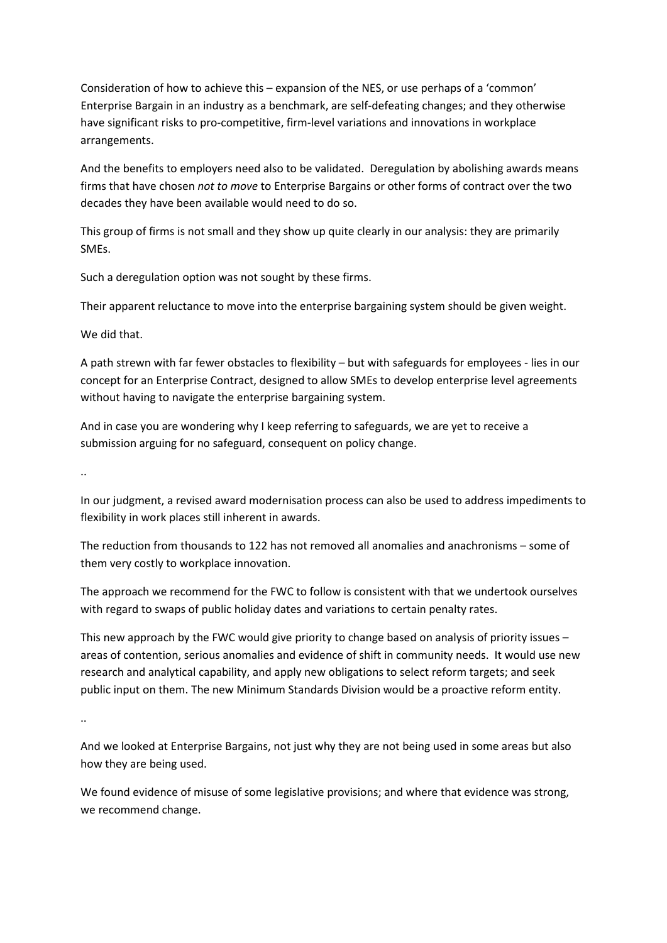Consideration of how to achieve this – expansion of the NES, or use perhaps of a 'common' Enterprise Bargain in an industry as a benchmark, are self-defeating changes; and they otherwise have significant risks to pro-competitive, firm-level variations and innovations in workplace arrangements.

And the benefits to employers need also to be validated. Deregulation by abolishing awards means firms that have chosen *not to move* to Enterprise Bargains or other forms of contract over the two decades they have been available would need to do so.

This group of firms is not small and they show up quite clearly in our analysis: they are primarily SMEs.

Such a deregulation option was not sought by these firms.

Their apparent reluctance to move into the enterprise bargaining system should be given weight.

We did that.

A path strewn with far fewer obstacles to flexibility – but with safeguards for employees - lies in our concept for an Enterprise Contract, designed to allow SMEs to develop enterprise level agreements without having to navigate the enterprise bargaining system.

And in case you are wondering why I keep referring to safeguards, we are yet to receive a submission arguing for no safeguard, consequent on policy change.

..

In our judgment, a revised award modernisation process can also be used to address impediments to flexibility in work places still inherent in awards.

The reduction from thousands to 122 has not removed all anomalies and anachronisms – some of them very costly to workplace innovation.

The approach we recommend for the FWC to follow is consistent with that we undertook ourselves with regard to swaps of public holiday dates and variations to certain penalty rates.

This new approach by the FWC would give priority to change based on analysis of priority issues – areas of contention, serious anomalies and evidence of shift in community needs. It would use new research and analytical capability, and apply new obligations to select reform targets; and seek public input on them. The new Minimum Standards Division would be a proactive reform entity.

..

And we looked at Enterprise Bargains, not just why they are not being used in some areas but also how they are being used.

We found evidence of misuse of some legislative provisions; and where that evidence was strong, we recommend change.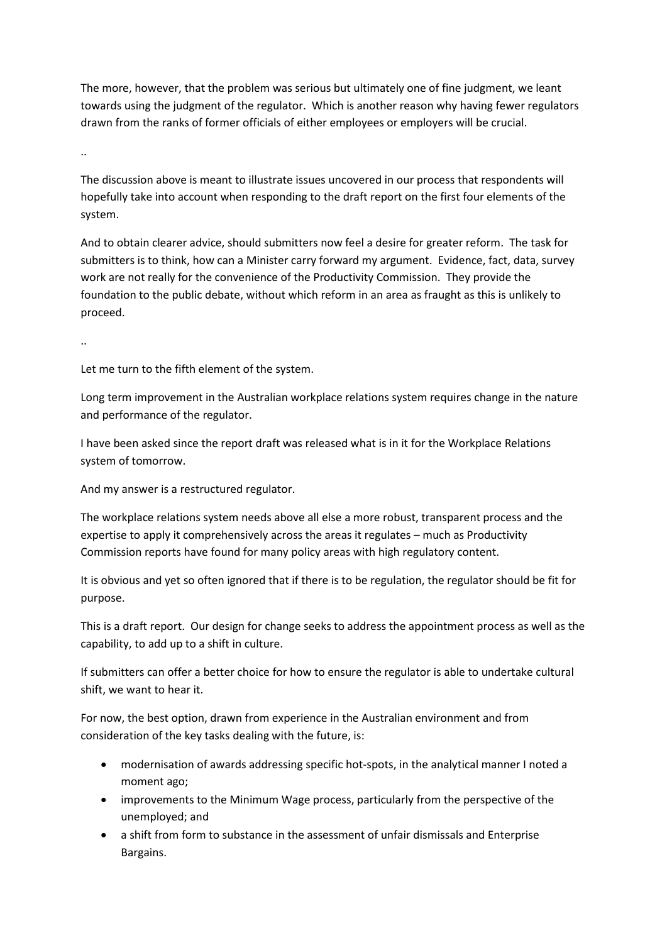The more, however, that the problem was serious but ultimately one of fine judgment, we leant towards using the judgment of the regulator. Which is another reason why having fewer regulators drawn from the ranks of former officials of either employees or employers will be crucial.

..

The discussion above is meant to illustrate issues uncovered in our process that respondents will hopefully take into account when responding to the draft report on the first four elements of the system.

And to obtain clearer advice, should submitters now feel a desire for greater reform. The task for submitters is to think, how can a Minister carry forward my argument. Evidence, fact, data, survey work are not really for the convenience of the Productivity Commission. They provide the foundation to the public debate, without which reform in an area as fraught as this is unlikely to proceed.

..

Let me turn to the fifth element of the system.

Long term improvement in the Australian workplace relations system requires change in the nature and performance of the regulator.

I have been asked since the report draft was released what is in it for the Workplace Relations system of tomorrow.

And my answer is a restructured regulator.

The workplace relations system needs above all else a more robust, transparent process and the expertise to apply it comprehensively across the areas it regulates – much as Productivity Commission reports have found for many policy areas with high regulatory content.

It is obvious and yet so often ignored that if there is to be regulation, the regulator should be fit for purpose.

This is a draft report. Our design for change seeks to address the appointment process as well as the capability, to add up to a shift in culture.

If submitters can offer a better choice for how to ensure the regulator is able to undertake cultural shift, we want to hear it.

For now, the best option, drawn from experience in the Australian environment and from consideration of the key tasks dealing with the future, is:

- modernisation of awards addressing specific hot-spots, in the analytical manner I noted a moment ago;
- improvements to the Minimum Wage process, particularly from the perspective of the unemployed; and
- a shift from form to substance in the assessment of unfair dismissals and Enterprise Bargains.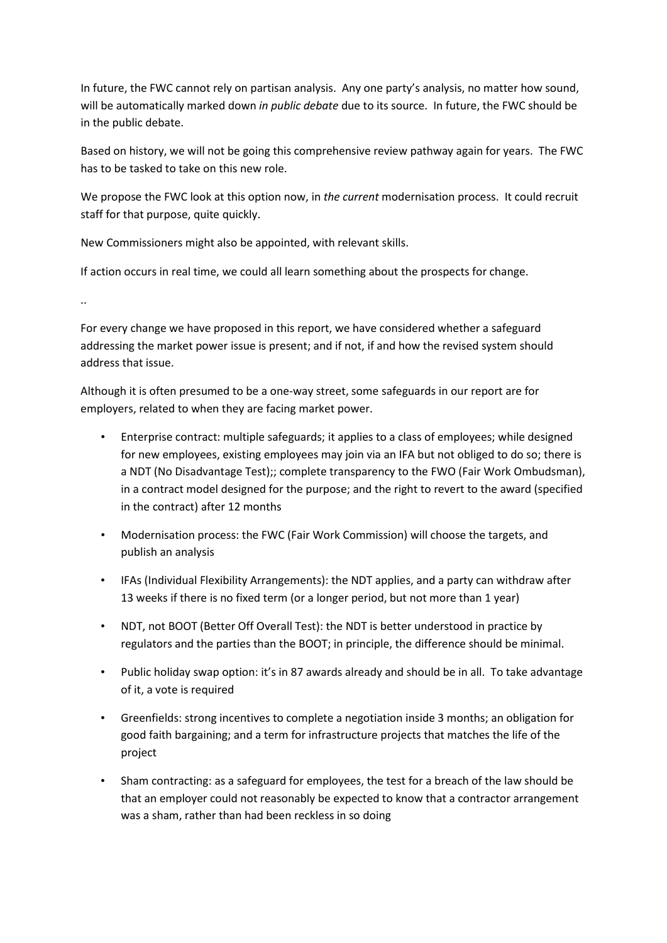In future, the FWC cannot rely on partisan analysis. Any one party's analysis, no matter how sound, will be automatically marked down *in public debate* due to its source. In future, the FWC should be in the public debate.

Based on history, we will not be going this comprehensive review pathway again for years. The FWC has to be tasked to take on this new role.

We propose the FWC look at this option now, in *the current* modernisation process. It could recruit staff for that purpose, quite quickly.

New Commissioners might also be appointed, with relevant skills.

If action occurs in real time, we could all learn something about the prospects for change.

..

For every change we have proposed in this report, we have considered whether a safeguard addressing the market power issue is present; and if not, if and how the revised system should address that issue.

Although it is often presumed to be a one-way street, some safeguards in our report are for employers, related to when they are facing market power.

- Enterprise contract: multiple safeguards; it applies to a class of employees; while designed for new employees, existing employees may join via an IFA but not obliged to do so; there is a NDT (No Disadvantage Test);; complete transparency to the FWO (Fair Work Ombudsman), in a contract model designed for the purpose; and the right to revert to the award (specified in the contract) after 12 months
- Modernisation process: the FWC (Fair Work Commission) will choose the targets, and publish an analysis
- IFAs (Individual Flexibility Arrangements): the NDT applies, and a party can withdraw after 13 weeks if there is no fixed term (or a longer period, but not more than 1 year)
- NDT, not BOOT (Better Off Overall Test): the NDT is better understood in practice by regulators and the parties than the BOOT; in principle, the difference should be minimal.
- Public holiday swap option: it's in 87 awards already and should be in all. To take advantage of it, a vote is required
- Greenfields: strong incentives to complete a negotiation inside 3 months; an obligation for good faith bargaining; and a term for infrastructure projects that matches the life of the project
- Sham contracting: as a safeguard for employees, the test for a breach of the law should be that an employer could not reasonably be expected to know that a contractor arrangement was a sham, rather than had been reckless in so doing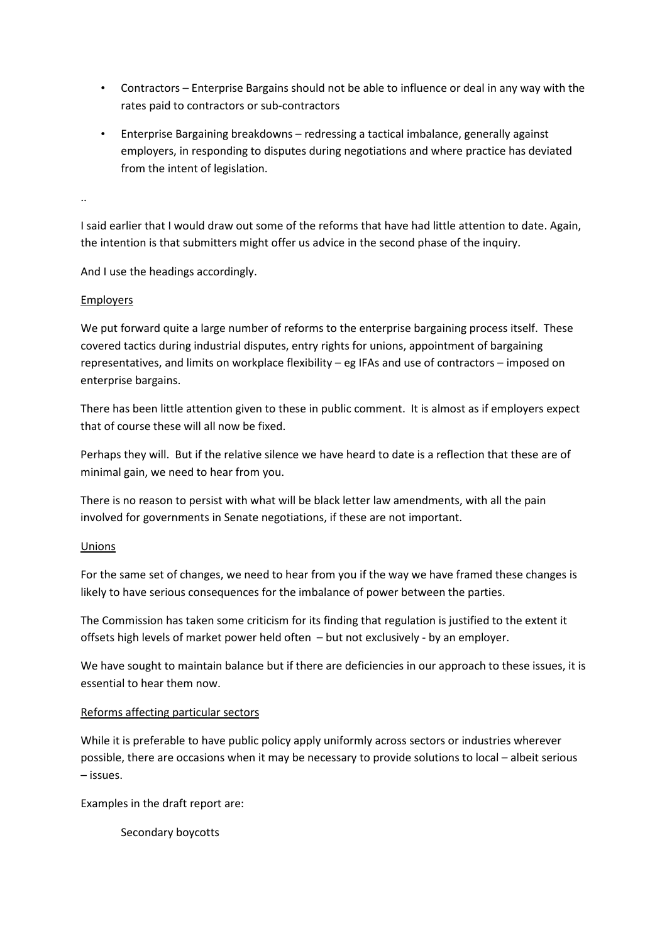- Contractors Enterprise Bargains should not be able to influence or deal in any way with the rates paid to contractors or sub-contractors
- Enterprise Bargaining breakdowns redressing a tactical imbalance, generally against employers, in responding to disputes during negotiations and where practice has deviated from the intent of legislation.

..

I said earlier that I would draw out some of the reforms that have had little attention to date. Again, the intention is that submitters might offer us advice in the second phase of the inquiry.

And I use the headings accordingly.

## Employers

We put forward quite a large number of reforms to the enterprise bargaining process itself. These covered tactics during industrial disputes, entry rights for unions, appointment of bargaining representatives, and limits on workplace flexibility – eg IFAs and use of contractors – imposed on enterprise bargains.

There has been little attention given to these in public comment. It is almost as if employers expect that of course these will all now be fixed.

Perhaps they will. But if the relative silence we have heard to date is a reflection that these are of minimal gain, we need to hear from you.

There is no reason to persist with what will be black letter law amendments, with all the pain involved for governments in Senate negotiations, if these are not important.

## Unions

For the same set of changes, we need to hear from you if the way we have framed these changes is likely to have serious consequences for the imbalance of power between the parties.

The Commission has taken some criticism for its finding that regulation is justified to the extent it offsets high levels of market power held often – but not exclusively - by an employer.

We have sought to maintain balance but if there are deficiencies in our approach to these issues, it is essential to hear them now.

## Reforms affecting particular sectors

While it is preferable to have public policy apply uniformly across sectors or industries wherever possible, there are occasions when it may be necessary to provide solutions to local – albeit serious – issues.

Examples in the draft report are:

Secondary boycotts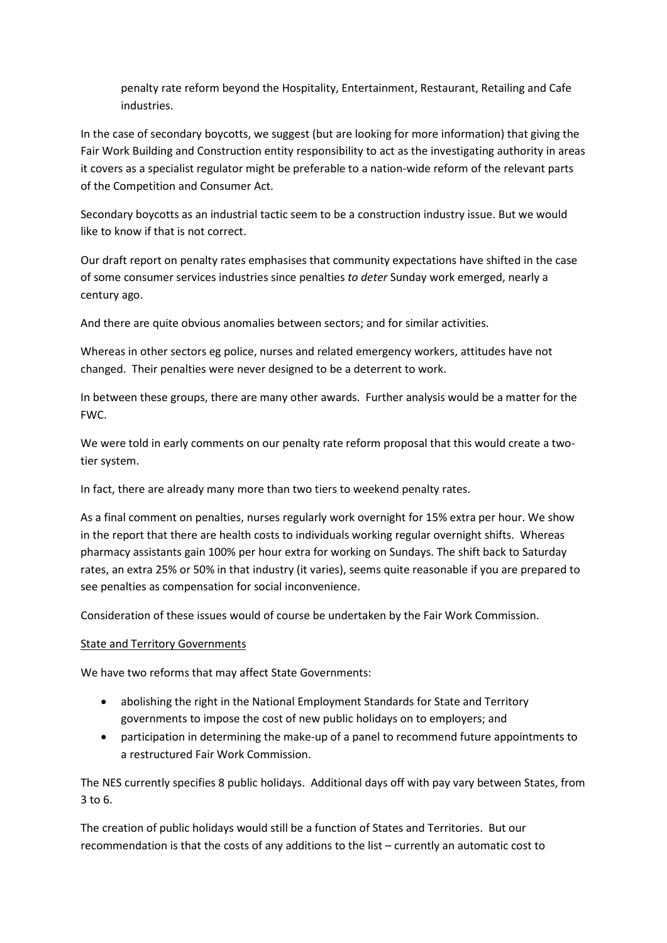penalty rate reform beyond the Hospitality, Entertainment, Restaurant, Retailing and Cafe industries.

In the case of secondary boycotts, we suggest (but are looking for more information) that giving the Fair Work Building and Construction entity responsibility to act as the investigating authority in areas it covers as a specialist regulator might be preferable to a nation-wide reform of the relevant parts of the Competition and Consumer Act.

Secondary boycotts as an industrial tactic seem to be a construction industry issue. But we would like to know if that is not correct.

Our draft report on penalty rates emphasises that community expectations have shifted in the case of some consumer services industries since penalties *to deter* Sunday work emerged, nearly a century ago.

And there are quite obvious anomalies between sectors; and for similar activities.

Whereas in other sectors eg police, nurses and related emergency workers, attitudes have not changed. Their penalties were never designed to be a deterrent to work.

In between these groups, there are many other awards. Further analysis would be a matter for the FWC.

We were told in early comments on our penalty rate reform proposal that this would create a twotier system.

In fact, there are already many more than two tiers to weekend penalty rates.

As a final comment on penalties, nurses regularly work overnight for 15% extra per hour. We show in the report that there are health costs to individuals working regular overnight shifts. Whereas pharmacy assistants gain 100% per hour extra for working on Sundays. The shift back to Saturday rates, an extra 25% or 50% in that industry (it varies), seems quite reasonable if you are prepared to see penalties as compensation for social inconvenience.

Consideration of these issues would of course be undertaken by the Fair Work Commission.

## State and Territory Governments

We have two reforms that may affect State Governments:

- abolishing the right in the National Employment Standards for State and Territory governments to impose the cost of new public holidays on to employers; and
- participation in determining the make-up of a panel to recommend future appointments to a restructured Fair Work Commission.

The NES currently specifies 8 public holidays. Additional days off with pay vary between States, from 3 to 6.

The creation of public holidays would still be a function of States and Territories. But our recommendation is that the costs of any additions to the list – currently an automatic cost to